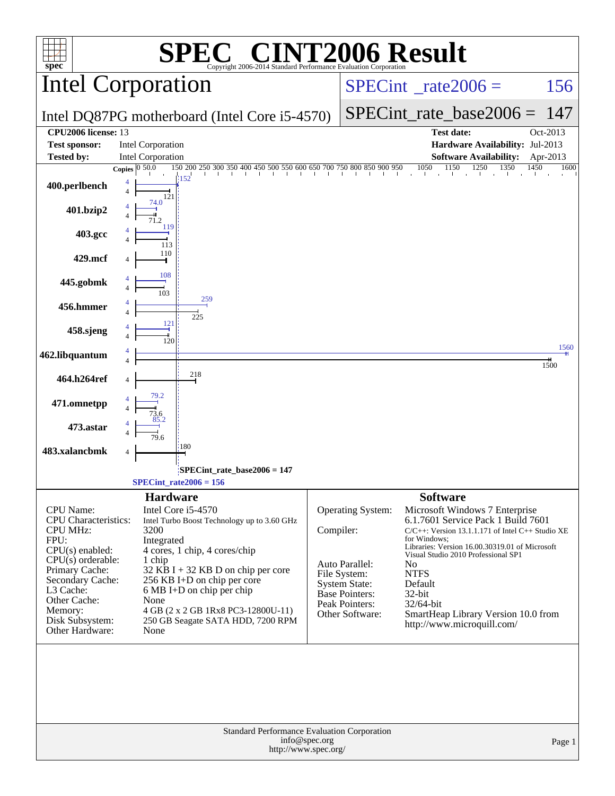| spec®                                                                                                                                                                                                                               | $\mathbf{I} \cdot \mathbf{R}$<br>Copyright 2006-2014 Standard Performance Evaluation Corporation                                                                                                                                                                                                                                                                                     |           |                                                                                                                                    | <b>INT2006 Result</b>                                                                                                                                                                                                                                                                                                                                                                             |              |
|-------------------------------------------------------------------------------------------------------------------------------------------------------------------------------------------------------------------------------------|--------------------------------------------------------------------------------------------------------------------------------------------------------------------------------------------------------------------------------------------------------------------------------------------------------------------------------------------------------------------------------------|-----------|------------------------------------------------------------------------------------------------------------------------------------|---------------------------------------------------------------------------------------------------------------------------------------------------------------------------------------------------------------------------------------------------------------------------------------------------------------------------------------------------------------------------------------------------|--------------|
|                                                                                                                                                                                                                                     | <b>Intel Corporation</b>                                                                                                                                                                                                                                                                                                                                                             |           | $SPECint^{\circ}$ <sub>_rate2006</sub> =                                                                                           | 156                                                                                                                                                                                                                                                                                                                                                                                               |              |
|                                                                                                                                                                                                                                     | Intel DQ87PG motherboard (Intel Core i5-4570)                                                                                                                                                                                                                                                                                                                                        |           | $SPECint_rate\_base2006 =$                                                                                                         | 147                                                                                                                                                                                                                                                                                                                                                                                               |              |
| CPU <sub>2006</sub> license: 13<br><b>Test sponsor:</b>                                                                                                                                                                             | Intel Corporation                                                                                                                                                                                                                                                                                                                                                                    |           |                                                                                                                                    | <b>Test date:</b><br>Hardware Availability: Jul-2013                                                                                                                                                                                                                                                                                                                                              | Oct-2013     |
| <b>Tested by:</b>                                                                                                                                                                                                                   | Intel Corporation                                                                                                                                                                                                                                                                                                                                                                    |           |                                                                                                                                    | <b>Software Availability:</b>                                                                                                                                                                                                                                                                                                                                                                     | Apr-2013     |
| 400.perlbench<br>401.bzip2                                                                                                                                                                                                          | $\frac{150}{100} \frac{200}{250} \frac{250}{300} \frac{350}{350} \frac{400}{450} \frac{450}{500} \frac{500}{500} \frac{550}{500} \frac{600}{600} \frac{650}{600} \frac{700}{700} \frac{750}{700} \frac{800}{800} \frac{850}{800} \frac{900}{950} \frac{950}{100} \frac{1050}{100} \frac{1150}{150} \frac{1250}{1250} \frac{1350$<br>Copies $\overline{0.50.0}$<br>152<br>121<br>74.0 |           |                                                                                                                                    |                                                                                                                                                                                                                                                                                                                                                                                                   | 1600<br>1450 |
|                                                                                                                                                                                                                                     | 119                                                                                                                                                                                                                                                                                                                                                                                  |           |                                                                                                                                    |                                                                                                                                                                                                                                                                                                                                                                                                   |              |
| 403.gcc                                                                                                                                                                                                                             | 113<br>110                                                                                                                                                                                                                                                                                                                                                                           |           |                                                                                                                                    |                                                                                                                                                                                                                                                                                                                                                                                                   |              |
| 429.mcf                                                                                                                                                                                                                             | 108                                                                                                                                                                                                                                                                                                                                                                                  |           |                                                                                                                                    |                                                                                                                                                                                                                                                                                                                                                                                                   |              |
| 445.gobmk                                                                                                                                                                                                                           | 103<br>259                                                                                                                                                                                                                                                                                                                                                                           |           |                                                                                                                                    |                                                                                                                                                                                                                                                                                                                                                                                                   |              |
| 456.hmmer                                                                                                                                                                                                                           | 225<br>121                                                                                                                                                                                                                                                                                                                                                                           |           |                                                                                                                                    |                                                                                                                                                                                                                                                                                                                                                                                                   |              |
| 458.sjeng                                                                                                                                                                                                                           | 120                                                                                                                                                                                                                                                                                                                                                                                  |           |                                                                                                                                    |                                                                                                                                                                                                                                                                                                                                                                                                   | 1560         |
| 462.libquantum                                                                                                                                                                                                                      | 218                                                                                                                                                                                                                                                                                                                                                                                  |           |                                                                                                                                    |                                                                                                                                                                                                                                                                                                                                                                                                   | 1500         |
| 464.h264ref                                                                                                                                                                                                                         |                                                                                                                                                                                                                                                                                                                                                                                      |           |                                                                                                                                    |                                                                                                                                                                                                                                                                                                                                                                                                   |              |
| 471.omnetpp                                                                                                                                                                                                                         |                                                                                                                                                                                                                                                                                                                                                                                      |           |                                                                                                                                    |                                                                                                                                                                                                                                                                                                                                                                                                   |              |
| 473.astar                                                                                                                                                                                                                           | :180                                                                                                                                                                                                                                                                                                                                                                                 |           |                                                                                                                                    |                                                                                                                                                                                                                                                                                                                                                                                                   |              |
| 483.xalancbmk                                                                                                                                                                                                                       |                                                                                                                                                                                                                                                                                                                                                                                      |           |                                                                                                                                    |                                                                                                                                                                                                                                                                                                                                                                                                   |              |
|                                                                                                                                                                                                                                     | SPECint_rate_base2006 = 147<br>$SPECint_rate2006 = 156$                                                                                                                                                                                                                                                                                                                              |           |                                                                                                                                    |                                                                                                                                                                                                                                                                                                                                                                                                   |              |
| CPU Name:<br><b>CPU</b> Characteristics:<br><b>CPU MHz:</b><br>FPU:<br>$CPU(s)$ enabled:<br>$CPU(s)$ orderable:<br>Primary Cache:<br>Secondary Cache:<br>L3 Cache:<br>Other Cache:<br>Memory:<br>Disk Subsystem:<br>Other Hardware: | <b>Hardware</b><br>Intel Core i5-4570<br>Intel Turbo Boost Technology up to 3.60 GHz<br>3200<br>Integrated<br>4 cores, 1 chip, 4 cores/chip<br>1 chip<br>32 KB I + 32 KB D on chip per core<br>256 KB I+D on chip per core<br>6 MB I+D on chip per chip<br>None<br>4 GB (2 x 2 GB 1Rx8 PC3-12800U-11)<br>250 GB Seagate SATA HDD, 7200 RPM<br>None                                   | Compiler: | Operating System:<br>Auto Parallel:<br>File System:<br><b>System State:</b><br>Base Pointers:<br>Peak Pointers:<br>Other Software: | <b>Software</b><br>Microsoft Windows 7 Enterprise<br>6.1.7601 Service Pack 1 Build 7601<br>$C/C++$ : Version 13.1.1.171 of Intel $C++$ Studio XE<br>for Windows:<br>Libraries: Version 16.00.30319.01 of Microsoft<br>Visual Studio 2010 Professional SP1<br>N <sub>0</sub><br><b>NTFS</b><br>Default<br>32-bit<br>32/64-bit<br>SmartHeap Library Version 10.0 from<br>http://www.microquill.com/ |              |
|                                                                                                                                                                                                                                     | <b>Standard Performance Evaluation Corporation</b><br>info@spec.org<br>http://www.spec.org/                                                                                                                                                                                                                                                                                          |           |                                                                                                                                    |                                                                                                                                                                                                                                                                                                                                                                                                   | Page 1       |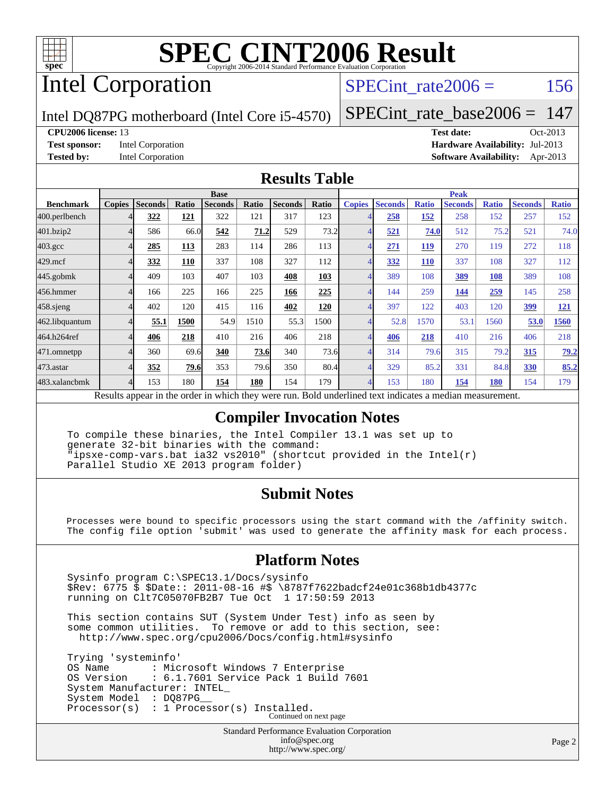

# Intel Corporation

### SPECint rate $2006 = 156$

Intel DQ87PG motherboard (Intel Core i5-4570)

[SPECint\\_rate\\_base2006 =](http://www.spec.org/auto/cpu2006/Docs/result-fields.html#SPECintratebase2006) 147

#### **[CPU2006 license:](http://www.spec.org/auto/cpu2006/Docs/result-fields.html#CPU2006license)** 13 **[Test date:](http://www.spec.org/auto/cpu2006/Docs/result-fields.html#Testdate)** Oct-2013

**[Test sponsor:](http://www.spec.org/auto/cpu2006/Docs/result-fields.html#Testsponsor)** Intel Corporation **[Hardware Availability:](http://www.spec.org/auto/cpu2006/Docs/result-fields.html#HardwareAvailability)** Jul-2013 **[Tested by:](http://www.spec.org/auto/cpu2006/Docs/result-fields.html#Testedby)** Intel Corporation **[Software Availability:](http://www.spec.org/auto/cpu2006/Docs/result-fields.html#SoftwareAvailability)** Apr-2013

### **[Results Table](http://www.spec.org/auto/cpu2006/Docs/result-fields.html#ResultsTable)**

|                    | <b>Base</b>   |                |            |                |       | <b>Peak</b>    |       |                |                |              |                |              |                |              |
|--------------------|---------------|----------------|------------|----------------|-------|----------------|-------|----------------|----------------|--------------|----------------|--------------|----------------|--------------|
| <b>Benchmark</b>   | <b>Copies</b> | <b>Seconds</b> | Ratio      | <b>Seconds</b> | Ratio | <b>Seconds</b> | Ratio | <b>Copies</b>  | <b>Seconds</b> | <b>Ratio</b> | <b>Seconds</b> | <b>Ratio</b> | <b>Seconds</b> | <b>Ratio</b> |
| 400.perlbench      |               | 322            | 121        | 322            | 121   | 317            | 123   |                | 258            | 152          | 258            | 152          | 257            | 152          |
| 401.bzip2          |               | 586            | 66.0       | 542            | 71.2  | 529            | 73.2  | 4              | 521            | 74.0         | 512            | 75.2         | 521            | 74.0         |
| $403.\mathrm{gcc}$ |               | 285            | <b>113</b> | 283            | 114   | 286            | 113   | 4              | 271            | <u>119</u>   | 270            | 119          | 272            | 118          |
| $429$ .mcf         |               | 332            | 110        | 337            | 108   | 327            | 112   | 4              | 332            | <b>110</b>   | 337            | 108          | 327            | 112          |
| 445.gobmk          |               | 409            | 103        | 407            | 103   | 408            | 103   | $\overline{4}$ | 389            | 108          | 389            | 108          | 389            | 108          |
| 456.hmmer          |               | 166            | 225        | 166            | 225   | 166            | 225   | 4              | 144            | 259          | 144            | 259          | 145            | 258          |
| $458$ .sjeng       |               | 402            | 120        | 415            | 116   | 402            | 120   | 4              | 397            | 122          | 403            | 120          | <u>399</u>     | <u>121</u>   |
| 462.libquantum     |               | 55.1           | 1500       | 54.9           | 1510  | 55.3           | 1500  | 4              | 52.8           | 1570         | 53.1           | 1560         | 53.0           | 1560         |
| 464.h264ref        |               | 406            | 218        | 410            | 216   | 406            | 218   | $\overline{4}$ | 406            | 218          | 410            | 216          | 406            | 218          |
| 471.omnetpp        |               | 360            | 69.6       | 340            | 73.6  | 340            | 73.6  | 4              | 314            | 79.6         | 315            | 79.2         | 315            | 79.2         |
| 473.astar          |               | 352            | 79.6       | 353            | 79.6  | 350            | 80.4  | $\overline{4}$ | 329            | 85.2         | 331            | 84.8         | 330            | 85.2         |
| 483.xalancbmk      |               | 153            | 180        | 154            | 180   | 154            | 179   | 4              | 153            | 180          | 154            | 180          | 154            | 179          |

Results appear in the [order in which they were run.](http://www.spec.org/auto/cpu2006/Docs/result-fields.html#RunOrder) Bold underlined text [indicates a median measurement.](http://www.spec.org/auto/cpu2006/Docs/result-fields.html#Median)

### **[Compiler Invocation Notes](http://www.spec.org/auto/cpu2006/Docs/result-fields.html#CompilerInvocationNotes)**

 To compile these binaries, the Intel Compiler 13.1 was set up to generate 32-bit binaries with the command: "ipsxe-comp-vars.bat ia32 vs2010" (shortcut provided in the Intel(r) Parallel Studio XE 2013 program folder)

### **[Submit Notes](http://www.spec.org/auto/cpu2006/Docs/result-fields.html#SubmitNotes)**

 Processes were bound to specific processors using the start command with the /affinity switch. The config file option 'submit' was used to generate the affinity mask for each process.

### **[Platform Notes](http://www.spec.org/auto/cpu2006/Docs/result-fields.html#PlatformNotes)**

 Sysinfo program C:\SPEC13.1/Docs/sysinfo \$Rev: 6775 \$ \$Date:: 2011-08-16 #\$ \8787f7622badcf24e01c368b1db4377c running on Clt7C05070FB2B7 Tue Oct 1 17:50:59 2013

 This section contains SUT (System Under Test) info as seen by some common utilities. To remove or add to this section, see: <http://www.spec.org/cpu2006/Docs/config.html#sysinfo>

 Trying 'systeminfo' OS Name : Microsoft Windows 7 Enterprise<br>OS Version : 6.1.7601 Service Pack 1 Build : 6.1.7601 Service Pack 1 Build 7601 System Manufacturer: INTEL\_ System Model : DQ87PG Processor(s) : 1 Processor(s) Installed. Continued on next page

> Standard Performance Evaluation Corporation [info@spec.org](mailto:info@spec.org) <http://www.spec.org/>

Page 2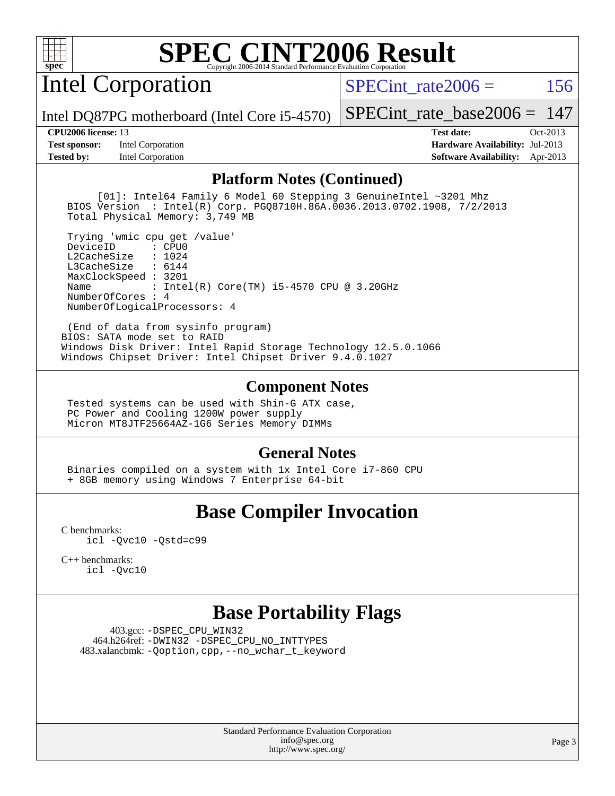

Intel Corporation

SPECint rate $2006 = 156$ 

Intel DQ87PG motherboard (Intel Core i5-4570)

**[Test sponsor:](http://www.spec.org/auto/cpu2006/Docs/result-fields.html#Testsponsor)** Intel Corporation **[Hardware Availability:](http://www.spec.org/auto/cpu2006/Docs/result-fields.html#HardwareAvailability)** Jul-2013 **[Tested by:](http://www.spec.org/auto/cpu2006/Docs/result-fields.html#Testedby)** Intel Corporation **[Software Availability:](http://www.spec.org/auto/cpu2006/Docs/result-fields.html#SoftwareAvailability)** Apr-2013

[SPECint\\_rate\\_base2006 =](http://www.spec.org/auto/cpu2006/Docs/result-fields.html#SPECintratebase2006) 147 **[CPU2006 license:](http://www.spec.org/auto/cpu2006/Docs/result-fields.html#CPU2006license)** 13 **[Test date:](http://www.spec.org/auto/cpu2006/Docs/result-fields.html#Testdate)** Oct-2013

**[Platform Notes \(Continued\)](http://www.spec.org/auto/cpu2006/Docs/result-fields.html#PlatformNotes)**

 [01]: Intel64 Family 6 Model 60 Stepping 3 GenuineIntel ~3201 Mhz BIOS Version : Intel(R) Corp. PGQ8710H.86A.0036.2013.0702.1908, 7/2/2013 Total Physical Memory: 3,749 MB

 Trying 'wmic cpu get /value' DeviceID L2CacheSize : 1024 L3CacheSize : 6144 MaxClockSpeed : 3201 Name : Intel(R) Core(TM) i5-4570 CPU @ 3.20GHz NumberOfCores : 4 NumberOfLogicalProcessors: 4

 (End of data from sysinfo program) BIOS: SATA mode set to RAID Windows Disk Driver: Intel Rapid Storage Technology 12.5.0.1066 Windows Chipset Driver: Intel Chipset Driver 9.4.0.1027

### **[Component Notes](http://www.spec.org/auto/cpu2006/Docs/result-fields.html#ComponentNotes)**

 Tested systems can be used with Shin-G ATX case, PC Power and Cooling 1200W power supply Micron MT8JTF25664AZ-1G6 Series Memory DIMMs

### **[General Notes](http://www.spec.org/auto/cpu2006/Docs/result-fields.html#GeneralNotes)**

 Binaries compiled on a system with 1x Intel Core i7-860 CPU + 8GB memory using Windows 7 Enterprise 64-bit

## **[Base Compiler Invocation](http://www.spec.org/auto/cpu2006/Docs/result-fields.html#BaseCompilerInvocation)**

[C benchmarks](http://www.spec.org/auto/cpu2006/Docs/result-fields.html#Cbenchmarks): [icl -Qvc10](http://www.spec.org/cpu2006/results/res2014q3/cpu2006-20140701-30210.flags.html#user_CCbase_intel_icc_vc10_9607f3ecbcdf68042245f068e51b40c1) [-Qstd=c99](http://www.spec.org/cpu2006/results/res2014q3/cpu2006-20140701-30210.flags.html#user_CCbase_intel_compiler_c99_mode_1a3d110e3041b3ad4466830521bdad2a)

[C++ benchmarks:](http://www.spec.org/auto/cpu2006/Docs/result-fields.html#CXXbenchmarks) [icl -Qvc10](http://www.spec.org/cpu2006/results/res2014q3/cpu2006-20140701-30210.flags.html#user_CXXbase_intel_icc_vc10_9607f3ecbcdf68042245f068e51b40c1)

### **[Base Portability Flags](http://www.spec.org/auto/cpu2006/Docs/result-fields.html#BasePortabilityFlags)**

 403.gcc: [-DSPEC\\_CPU\\_WIN32](http://www.spec.org/cpu2006/results/res2014q3/cpu2006-20140701-30210.flags.html#b403.gcc_baseCPORTABILITY_DSPEC_CPU_WIN32) 464.h264ref: [-DWIN32](http://www.spec.org/cpu2006/results/res2014q3/cpu2006-20140701-30210.flags.html#b464.h264ref_baseCPORTABILITY_DWIN32) [-DSPEC\\_CPU\\_NO\\_INTTYPES](http://www.spec.org/cpu2006/results/res2014q3/cpu2006-20140701-30210.flags.html#b464.h264ref_baseCPORTABILITY_DSPEC_CPU_NO_INTTYPES) 483.xalancbmk: [-Qoption,cpp,--no\\_wchar\\_t\\_keyword](http://www.spec.org/cpu2006/results/res2014q3/cpu2006-20140701-30210.flags.html#user_baseCXXPORTABILITY483_xalancbmk_f-no_wchar_t_keyword_ec0ad4495a16b4e858bfcb29d949d25d)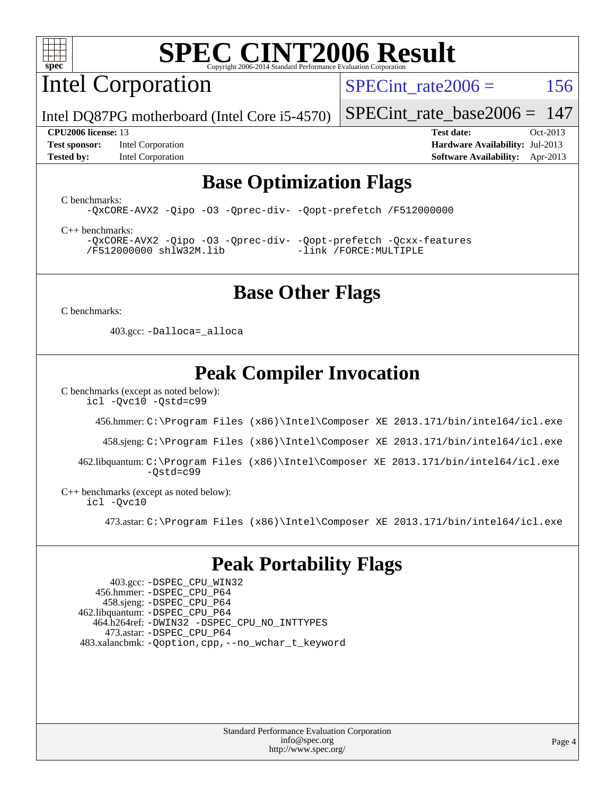

Intel Corporation

SPECint rate $2006 = 156$ 

Intel DQ87PG motherboard (Intel Core i5-4570)

**[Test sponsor:](http://www.spec.org/auto/cpu2006/Docs/result-fields.html#Testsponsor)** Intel Corporation **[Hardware Availability:](http://www.spec.org/auto/cpu2006/Docs/result-fields.html#HardwareAvailability)** Jul-2013 **[Tested by:](http://www.spec.org/auto/cpu2006/Docs/result-fields.html#Testedby)** Intel Corporation **[Software Availability:](http://www.spec.org/auto/cpu2006/Docs/result-fields.html#SoftwareAvailability)** Apr-2013

[SPECint\\_rate\\_base2006 =](http://www.spec.org/auto/cpu2006/Docs/result-fields.html#SPECintratebase2006) 147 **[CPU2006 license:](http://www.spec.org/auto/cpu2006/Docs/result-fields.html#CPU2006license)** 13 **[Test date:](http://www.spec.org/auto/cpu2006/Docs/result-fields.html#Testdate)** Oct-2013

## **[Base Optimization Flags](http://www.spec.org/auto/cpu2006/Docs/result-fields.html#BaseOptimizationFlags)**

[C benchmarks](http://www.spec.org/auto/cpu2006/Docs/result-fields.html#Cbenchmarks):

[-QxCORE-AVX2](http://www.spec.org/cpu2006/results/res2014q3/cpu2006-20140701-30210.flags.html#user_CCbase_f-QxAVX2_f98716b5f9e905f99c943c56f21bf430) [-Qipo](http://www.spec.org/cpu2006/results/res2014q3/cpu2006-20140701-30210.flags.html#user_CCbase_f-Qipo) [-O3](http://www.spec.org/cpu2006/results/res2014q3/cpu2006-20140701-30210.flags.html#user_CCbase_f-O3) [-Qprec-div-](http://www.spec.org/cpu2006/results/res2014q3/cpu2006-20140701-30210.flags.html#user_CCbase_f-Qprec-div-) [-Qopt-prefetch](http://www.spec.org/cpu2006/results/res2014q3/cpu2006-20140701-30210.flags.html#user_CCbase_f-Qprefetch_37c211608666b9dff9380561f602f0a8) [/F512000000](http://www.spec.org/cpu2006/results/res2014q3/cpu2006-20140701-30210.flags.html#user_CCbase_set_stack_space_98438a10eb60aa5f35f4c79d9b9b27b1)

[C++ benchmarks:](http://www.spec.org/auto/cpu2006/Docs/result-fields.html#CXXbenchmarks) [-QxCORE-AVX2](http://www.spec.org/cpu2006/results/res2014q3/cpu2006-20140701-30210.flags.html#user_CXXbase_f-QxAVX2_f98716b5f9e905f99c943c56f21bf430) [-Qipo](http://www.spec.org/cpu2006/results/res2014q3/cpu2006-20140701-30210.flags.html#user_CXXbase_f-Qipo) [-O3](http://www.spec.org/cpu2006/results/res2014q3/cpu2006-20140701-30210.flags.html#user_CXXbase_f-O3) [-Qprec-div-](http://www.spec.org/cpu2006/results/res2014q3/cpu2006-20140701-30210.flags.html#user_CXXbase_f-Qprec-div-) [-Qopt-prefetch](http://www.spec.org/cpu2006/results/res2014q3/cpu2006-20140701-30210.flags.html#user_CXXbase_f-Qprefetch_37c211608666b9dff9380561f602f0a8) [-Qcxx-features](http://www.spec.org/cpu2006/results/res2014q3/cpu2006-20140701-30210.flags.html#user_CXXbase_f-Qcxx_features_dbf36c8a6dba956e22f1645e4dcd4d98) [/F512000000](http://www.spec.org/cpu2006/results/res2014q3/cpu2006-20140701-30210.flags.html#user_CXXbase_set_stack_space_98438a10eb60aa5f35f4c79d9b9b27b1) [shlW32M.lib](http://www.spec.org/cpu2006/results/res2014q3/cpu2006-20140701-30210.flags.html#user_CXXbase_SmartHeap32_d106338dfda1a055705c9b519e07f096) [-link /FORCE:MULTIPLE](http://www.spec.org/cpu2006/results/res2014q3/cpu2006-20140701-30210.flags.html#user_CXXbase_link_force_multiple2_070fe330869edf77077b841074b8b0b6)

## **[Base Other Flags](http://www.spec.org/auto/cpu2006/Docs/result-fields.html#BaseOtherFlags)**

[C benchmarks](http://www.spec.org/auto/cpu2006/Docs/result-fields.html#Cbenchmarks):

403.gcc: [-Dalloca=\\_alloca](http://www.spec.org/cpu2006/results/res2014q3/cpu2006-20140701-30210.flags.html#b403.gcc_baseEXTRA_CFLAGS_Dalloca_be3056838c12de2578596ca5467af7f3)

# **[Peak Compiler Invocation](http://www.spec.org/auto/cpu2006/Docs/result-fields.html#PeakCompilerInvocation)**

[C benchmarks \(except as noted below\)](http://www.spec.org/auto/cpu2006/Docs/result-fields.html#Cbenchmarksexceptasnotedbelow):

[icl -Qvc10](http://www.spec.org/cpu2006/results/res2014q3/cpu2006-20140701-30210.flags.html#user_CCpeak_intel_icc_vc10_9607f3ecbcdf68042245f068e51b40c1) [-Qstd=c99](http://www.spec.org/cpu2006/results/res2014q3/cpu2006-20140701-30210.flags.html#user_CCpeak_intel_compiler_c99_mode_1a3d110e3041b3ad4466830521bdad2a)

456.hmmer: [C:\Program Files \(x86\)\Intel\Composer XE 2013.171/bin/intel64/icl.exe](http://www.spec.org/cpu2006/results/res2014q3/cpu2006-20140701-30210.flags.html#user_peakCCLD456_hmmer_intel_icc_64bit_a47adb23ffeeb40a4c72a454746f326c)

458.sjeng: [C:\Program Files \(x86\)\Intel\Composer XE 2013.171/bin/intel64/icl.exe](http://www.spec.org/cpu2006/results/res2014q3/cpu2006-20140701-30210.flags.html#user_peakCCLD458_sjeng_intel_icc_64bit_a47adb23ffeeb40a4c72a454746f326c)

 462.libquantum: [C:\Program Files \(x86\)\Intel\Composer XE 2013.171/bin/intel64/icl.exe](http://www.spec.org/cpu2006/results/res2014q3/cpu2006-20140701-30210.flags.html#user_peakCCLD462_libquantum_intel_icc_64bit_a47adb23ffeeb40a4c72a454746f326c)  $-Ostd=c99$ 

[C++ benchmarks \(except as noted below\):](http://www.spec.org/auto/cpu2006/Docs/result-fields.html#CXXbenchmarksexceptasnotedbelow) [icl -Qvc10](http://www.spec.org/cpu2006/results/res2014q3/cpu2006-20140701-30210.flags.html#user_CXXpeak_intel_icc_vc10_9607f3ecbcdf68042245f068e51b40c1)

473.astar: [C:\Program Files \(x86\)\Intel\Composer XE 2013.171/bin/intel64/icl.exe](http://www.spec.org/cpu2006/results/res2014q3/cpu2006-20140701-30210.flags.html#user_peakCXXLD473_astar_intel_icc_64bit_a47adb23ffeeb40a4c72a454746f326c)

## **[Peak Portability Flags](http://www.spec.org/auto/cpu2006/Docs/result-fields.html#PeakPortabilityFlags)**

 403.gcc: [-DSPEC\\_CPU\\_WIN32](http://www.spec.org/cpu2006/results/res2014q3/cpu2006-20140701-30210.flags.html#b403.gcc_peakCPORTABILITY_DSPEC_CPU_WIN32) 456.hmmer: [-DSPEC\\_CPU\\_P64](http://www.spec.org/cpu2006/results/res2014q3/cpu2006-20140701-30210.flags.html#suite_peakPORTABILITY456_hmmer_DSPEC_CPU_P64) 458.sjeng: [-DSPEC\\_CPU\\_P64](http://www.spec.org/cpu2006/results/res2014q3/cpu2006-20140701-30210.flags.html#suite_peakPORTABILITY458_sjeng_DSPEC_CPU_P64) 462.libquantum: [-DSPEC\\_CPU\\_P64](http://www.spec.org/cpu2006/results/res2014q3/cpu2006-20140701-30210.flags.html#suite_peakPORTABILITY462_libquantum_DSPEC_CPU_P64) 464.h264ref: [-DWIN32](http://www.spec.org/cpu2006/results/res2014q3/cpu2006-20140701-30210.flags.html#b464.h264ref_peakCPORTABILITY_DWIN32) [-DSPEC\\_CPU\\_NO\\_INTTYPES](http://www.spec.org/cpu2006/results/res2014q3/cpu2006-20140701-30210.flags.html#b464.h264ref_peakCPORTABILITY_DSPEC_CPU_NO_INTTYPES) 473.astar: [-DSPEC\\_CPU\\_P64](http://www.spec.org/cpu2006/results/res2014q3/cpu2006-20140701-30210.flags.html#suite_peakPORTABILITY473_astar_DSPEC_CPU_P64) 483.xalancbmk: [-Qoption,cpp,--no\\_wchar\\_t\\_keyword](http://www.spec.org/cpu2006/results/res2014q3/cpu2006-20140701-30210.flags.html#user_peakCXXPORTABILITY483_xalancbmk_f-no_wchar_t_keyword_ec0ad4495a16b4e858bfcb29d949d25d)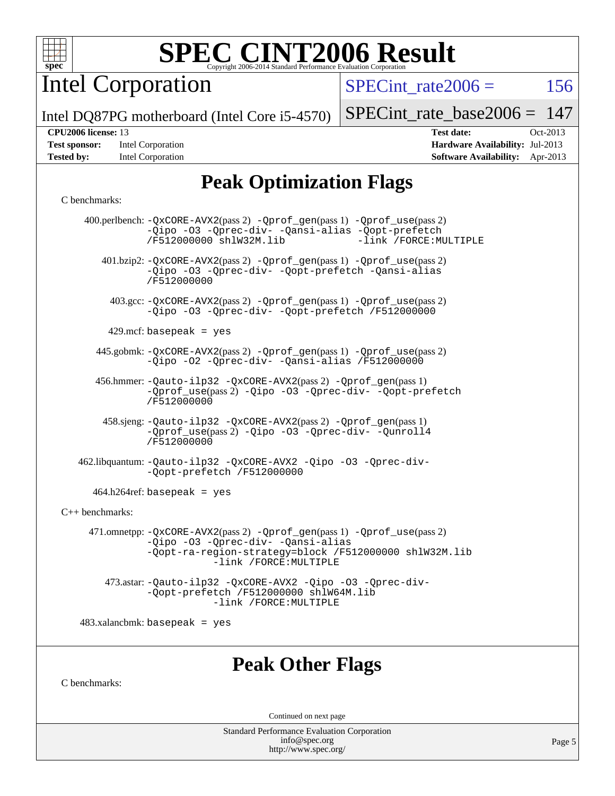

Intel Corporation

 $SPECTnt_rate2006 = 156$ 

Intel DQ87PG motherboard (Intel Core i5-4570)

| <b>Test sponsor:</b> | Intel Corporation |
|----------------------|-------------------|
| <b>Tested by:</b>    | Intel Corporation |

[SPECint\\_rate\\_base2006 =](http://www.spec.org/auto/cpu2006/Docs/result-fields.html#SPECintratebase2006) 147 **[CPU2006 license:](http://www.spec.org/auto/cpu2006/Docs/result-fields.html#CPU2006license)** 13 **[Test date:](http://www.spec.org/auto/cpu2006/Docs/result-fields.html#Testdate)** Oct-2013 **[Hardware Availability:](http://www.spec.org/auto/cpu2006/Docs/result-fields.html#HardwareAvailability)** Jul-2013

**[Software Availability:](http://www.spec.org/auto/cpu2006/Docs/result-fields.html#SoftwareAvailability)** Apr-2013

# **[Peak Optimization Flags](http://www.spec.org/auto/cpu2006/Docs/result-fields.html#PeakOptimizationFlags)**

#### [C benchmarks](http://www.spec.org/auto/cpu2006/Docs/result-fields.html#Cbenchmarks):

|                                 | 400.perlbench: -QxCORE-AVX2(pass 2) -Qprof_gen(pass 1) -Qprof_use(pass 2)<br>-Qipo -03 -Qprec-div- -Qansi-alias -Qopt-prefetch<br>/F512000000 shlW32M.lib<br>-link /FORCE: MULTIPLE               |
|---------------------------------|---------------------------------------------------------------------------------------------------------------------------------------------------------------------------------------------------|
|                                 | 401.bzip2: -QxCORE-AVX2(pass 2) -Qprof_gen(pass 1) -Qprof_use(pass 2)<br>-Qipo -03 -Qprec-div- -Qopt-prefetch -Qansi-alias<br>/F512000000                                                         |
|                                 | 403.gcc: -QxCORE-AVX2(pass 2) -Qprof_gen(pass 1) -Qprof_use(pass 2)<br>-Qipo -03 -Qprec-div- -Qopt-prefetch /F512000000                                                                           |
|                                 | 429.mcf: basepeak = $yes$                                                                                                                                                                         |
|                                 | 445.gobmk: -QxCORE-AVX2(pass 2) -Qprof_gen(pass 1) -Qprof_use(pass 2)<br>-Qipo -02 -Qprec-div- -Qansi-alias /F512000000                                                                           |
|                                 | 456.hmmer: - Qauto-ilp32 - QxCORE-AVX2(pass 2) - Qprof_gen(pass 1)<br>-Oprof_use(pass 2) -Qipo -03 -Oprec-div- -Qopt-prefetch<br>/F512000000                                                      |
|                                 | 458.sjeng: -Qauto-ilp32 -QxCORE-AVX2(pass 2) -Qprof_gen(pass 1)<br>-Oprof_use(pass 2) -Qipo -03 -Oprec-div- -Qunroll4<br>/F512000000                                                              |
|                                 | 462.libquantum: -Qauto-ilp32 -QxCORE-AVX2 -Qipo -03 -Qprec-div-<br>-Qopt-prefetch /F512000000                                                                                                     |
|                                 | $464.h264 \text{ref}$ : basepeak = yes                                                                                                                                                            |
| C++ benchmarks:                 |                                                                                                                                                                                                   |
|                                 | 471.omnetpp: -QxCORE-AVX2(pass 2) -Qprof_gen(pass 1) -Qprof_use(pass 2)<br>-Qipo -03 -Qprec-div- -Qansi-alias<br>-Qopt-ra-region-strategy=block /F512000000 shlW32M.lib<br>-link /FORCE: MULTIPLE |
|                                 | 473.astar: -Qauto-ilp32 -QxCORE-AVX2 -Qipo -03 -Qprec-div-<br>-Qopt-prefetch /F512000000 shlW64M.lib<br>-link /FORCE:MULTIPLE                                                                     |
| $483.xalanchmk: basepeak = yes$ |                                                                                                                                                                                                   |
| C benchmarks:                   | <b>Peak Other Flags</b>                                                                                                                                                                           |
|                                 | Continued on next page                                                                                                                                                                            |